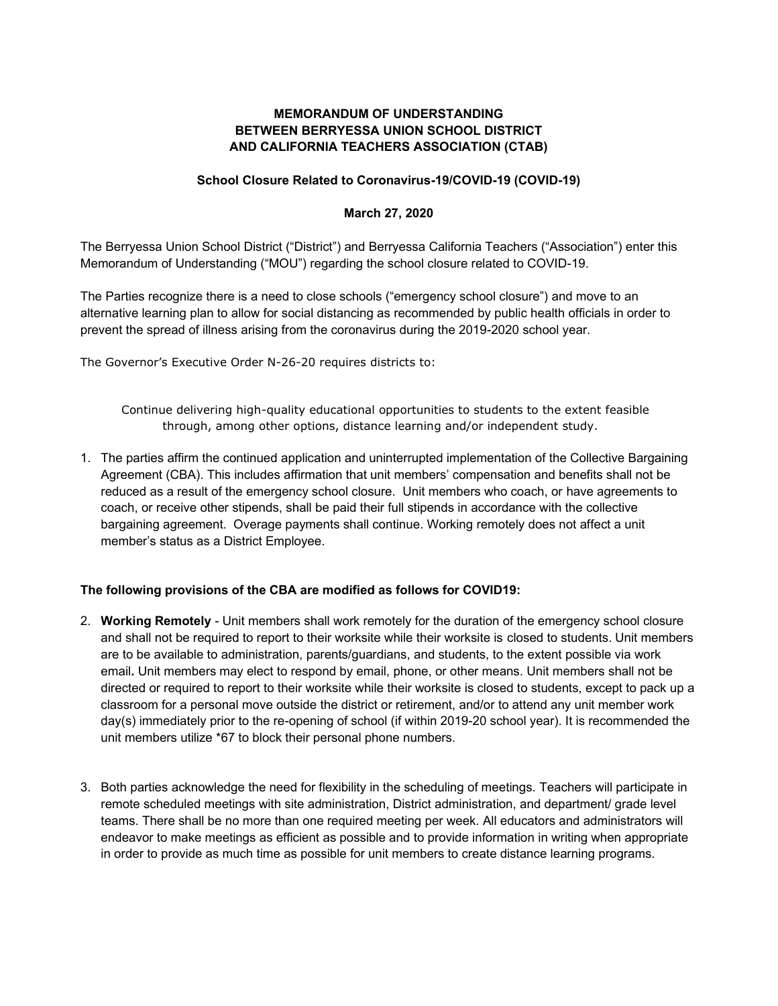## **MEMORANDUM OF UNDERSTANDING BETWEEN BERRYESSA UNION SCHOOL DISTRICT AND CALIFORNIA TEACHERS ASSOCIATION (CTAB)**

## **School Closure Related to Coronavirus-19/COVID-19 (COVID-19)**

## **March 27, 2020**

The Berryessa Union School District ("District") and Berryessa California Teachers ("Association") enter this Memorandum of Understanding ("MOU") regarding the school closure related to COVID-19.

The Parties recognize there is a need to close schools ("emergency school closure") and move to an alternative learning plan to allow for social distancing as recommended by public health officials in order to prevent the spread of illness arising from the coronavirus during the 2019-2020 school year.

The Governor's Executive Order N-26-20 requires districts to:

Continue delivering high-quality educational opportunities to students to the extent feasible through, among other options, distance learning and/or independent study.

1. The parties affirm the continued application and uninterrupted implementation of the Collective Bargaining Agreement (CBA). This includes affirmation that unit members' compensation and benefits shall not be reduced as a result of the emergency school closure. Unit members who coach, or have agreements to coach, or receive other stipends, shall be paid their full stipends in accordance with the collective bargaining agreement. Overage payments shall continue. Working remotely does not affect a unit member's status as a District Employee.

## **The following provisions of the CBA are modified as follows for COVID19:**

- 2. **Working Remotely** Unit members shall work remotely for the duration of the emergency school closure and shall not be required to report to their worksite while their worksite is closed to students. Unit members are to be available to administration, parents/guardians, and students, to the extent possible via work email**.** Unit members may elect to respond by email, phone, or other means. Unit members shall not be directed or required to report to their worksite while their worksite is closed to students, except to pack up a classroom for a personal move outside the district or retirement, and/or to attend any unit member work day(s) immediately prior to the re-opening of school (if within 2019-20 school year). It is recommended the unit members utilize \*67 to block their personal phone numbers.
- 3. Both parties acknowledge the need for flexibility in the scheduling of meetings. Teachers will participate in remote scheduled meetings with site administration, District administration, and department/ grade level teams. There shall be no more than one required meeting per week. All educators and administrators will endeavor to make meetings as efficient as possible and to provide information in writing when appropriate in order to provide as much time as possible for unit members to create distance learning programs.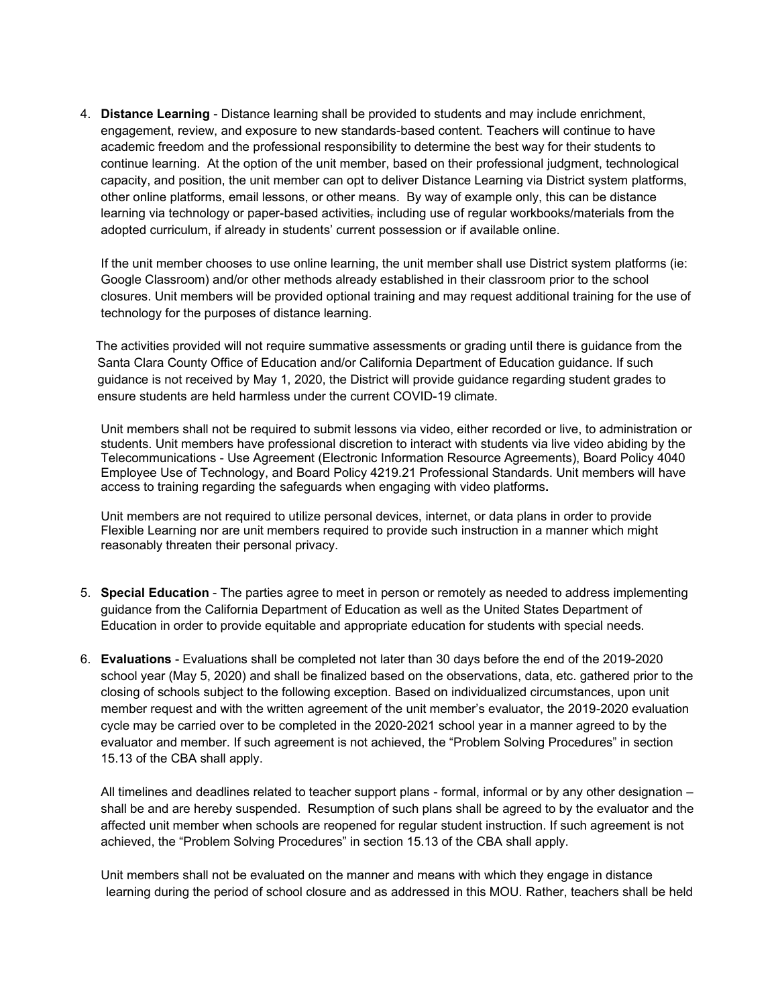4. **Distance Learning** - Distance learning shall be provided to students and may include enrichment, engagement, review, and exposure to new standards-based content. Teachers will continue to have academic freedom and the professional responsibility to determine the best way for their students to continue learning. At the option of the unit member, based on their professional judgment, technological capacity, and position, the unit member can opt to deliver Distance Learning via District system platforms, other online platforms, email lessons, or other means. By way of example only, this can be distance learning via technology or paper-based activities, including use of regular workbooks/materials from the adopted curriculum, if already in students' current possession or if available online.

If the unit member chooses to use online learning, the unit member shall use District system platforms (ie: Google Classroom) and/or other methods already established in their classroom prior to the school closures. Unit members will be provided optional training and may request additional training for the use of technology for the purposes of distance learning.

The activities provided will not require summative assessments or grading until there is guidance from the Santa Clara County Office of Education and/or California Department of Education guidance. If such guidance is not received by May 1, 2020, the District will provide guidance regarding student grades to ensure students are held harmless under the current COVID-19 climate.

Unit members shall not be required to submit lessons via video, either recorded or live, to administration or students. Unit members have professional discretion to interact with students via live video abiding by the Telecommunications - Use Agreement (Electronic Information Resource Agreements), Board Policy 4040 Employee Use of Technology, and Board Policy 4219.21 Professional Standards. Unit members will have access to training regarding the safeguards when engaging with video platforms**.** 

Unit members are not required to utilize personal devices, internet, or data plans in order to provide Flexible Learning nor are unit members required to provide such instruction in a manner which might reasonably threaten their personal privacy.

- 5. **Special Education** The parties agree to meet in person or remotely as needed to address implementing guidance from the California Department of Education as well as the United States Department of Education in order to provide equitable and appropriate education for students with special needs.
- 6. **Evaluations**  Evaluations shall be completed not later than 30 days before the end of the 2019-2020 school year (May 5, 2020) and shall be finalized based on the observations, data, etc. gathered prior to the closing of schools subject to the following exception. Based on individualized circumstances, upon unit member request and with the written agreement of the unit member's evaluator, the 2019-2020 evaluation cycle may be carried over to be completed in the 2020-2021 school year in a manner agreed to by the evaluator and member. If such agreement is not achieved, the "Problem Solving Procedures" in section 15.13 of the CBA shall apply.

 All timelines and deadlines related to teacher support plans - formal, informal or by any other designation – shall be and are hereby suspended. Resumption of such plans shall be agreed to by the evaluator and the affected unit member when schools are reopened for regular student instruction. If such agreement is not achieved, the "Problem Solving Procedures" in section 15.13 of the CBA shall apply.

Unit members shall not be evaluated on the manner and means with which they engage in distance learning during the period of school closure and as addressed in this MOU. Rather, teachers shall be held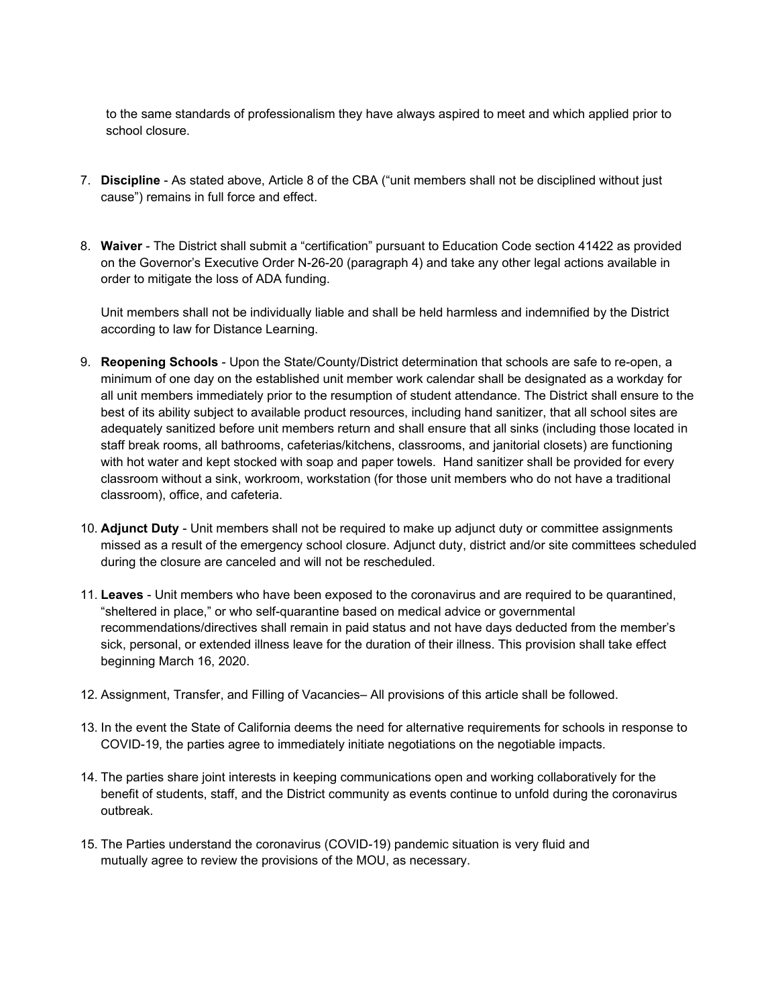to the same standards of professionalism they have always aspired to meet and which applied prior to school closure.

- 7. **Discipline** As stated above, Article 8 of the CBA ("unit members shall not be disciplined without just cause") remains in full force and effect.
- 8. **Waiver** The District shall submit a "certification" pursuant to Education Code section 41422 as provided on the Governor's Executive Order N-26-20 (paragraph 4) and take any other legal actions available in order to mitigate the loss of ADA funding.

Unit members shall not be individually liable and shall be held harmless and indemnified by the District according to law for Distance Learning.

- 9. **Reopening Schools** Upon the State/County/District determination that schools are safe to re-open, a minimum of one day on the established unit member work calendar shall be designated as a workday for all unit members immediately prior to the resumption of student attendance. The District shall ensure to the best of its ability subject to available product resources, including hand sanitizer, that all school sites are adequately sanitized before unit members return and shall ensure that all sinks (including those located in staff break rooms, all bathrooms, cafeterias/kitchens, classrooms, and janitorial closets) are functioning with hot water and kept stocked with soap and paper towels. Hand sanitizer shall be provided for every classroom without a sink, workroom, workstation (for those unit members who do not have a traditional classroom), office, and cafeteria.
- 10. **Adjunct Duty** Unit members shall not be required to make up adjunct duty or committee assignments missed as a result of the emergency school closure. Adjunct duty, district and/or site committees scheduled during the closure are canceled and will not be rescheduled.
- 11. **Leaves** Unit members who have been exposed to the coronavirus and are required to be quarantined, "sheltered in place," or who self-quarantine based on medical advice or governmental recommendations/directives shall remain in paid status and not have days deducted from the member's sick, personal, or extended illness leave for the duration of their illness. This provision shall take effect beginning March 16, 2020.
- 12. Assignment, Transfer, and Filling of Vacancies– All provisions of this article shall be followed.
- 13. In the event the State of California deems the need for alternative requirements for schools in response to COVID-19, the parties agree to immediately initiate negotiations on the negotiable impacts.
- 14. The parties share joint interests in keeping communications open and working collaboratively for the benefit of students, staff, and the District community as events continue to unfold during the coronavirus outbreak.
- 15. The Parties understand the coronavirus (COVID-19) pandemic situation is very fluid and mutually agree to review the provisions of the MOU, as necessary.